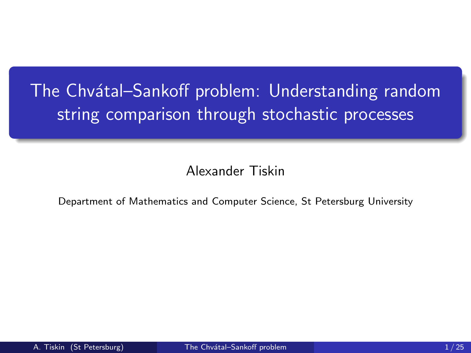# <span id="page-0-0"></span>The Chvátal–Sankoff problem: Understanding random string comparison through stochastic processes

Alexander Tiskin

Department of Mathematics and Computer Science, St Petersburg University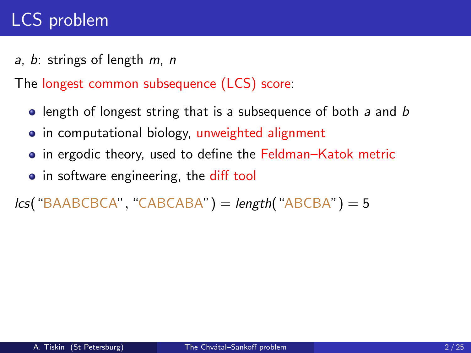<span id="page-1-0"></span>a, b: strings of length  $m$ , n

The longest common subsequence (LCS) score:

- $\bullet$  length of longest string that is a subsequence of both a and b
- in computational biology, unweighted alignment
- **•** in ergodic theory, used to define the Feldman–Katok metric
- in software engineering, the diff tool

```
lcs("BAABCBCA", "CABCABA") = length("ABCBA") = 5
```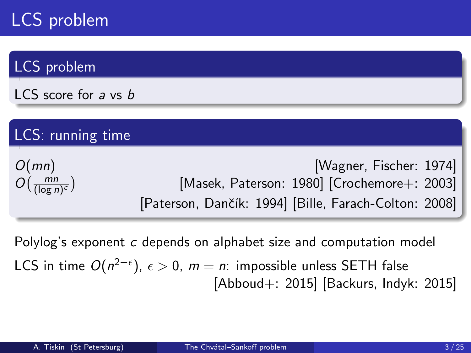### LCS problem

LCS score for a vs b

### LCS: running time

| O(mn)                                 |                                                       | Wagner, Fischer: 1974                           |  |
|---------------------------------------|-------------------------------------------------------|-------------------------------------------------|--|
| $O\left(\frac{mn}{(\log n)^c}\right)$ |                                                       | [Masek, Paterson: 1980] [Crochemore $+$ : 2003] |  |
|                                       | [Paterson, Dančík: 1994] [Bille, Farach-Colton: 2008] |                                                 |  |

Polylog's exponent c depends on alphabet size and computation model LCS in time  $O(n^{2-\epsilon}),\ \epsilon>0,\ m=n$ : impossible unless <code>SETH</code> false [Abboud+: 2015] [Backurs, Indyk: 2015]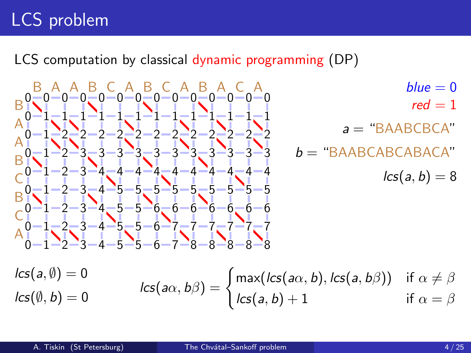LCS computation by classical dynamic programming (DP)

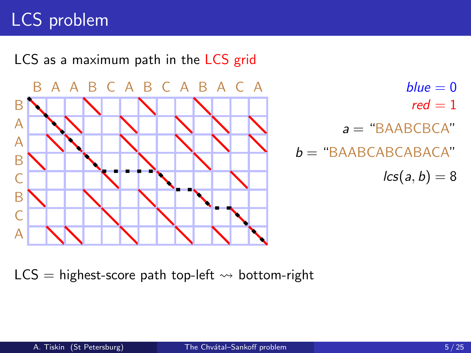

 $red = 1$  $a =$  "BAABCBCA"  $b =$  "BAABCABCABACA"  $lcs(a, b) = 8$ 

 $LCS =$  highest-score path top-left  $\rightsquigarrow$  bottom-right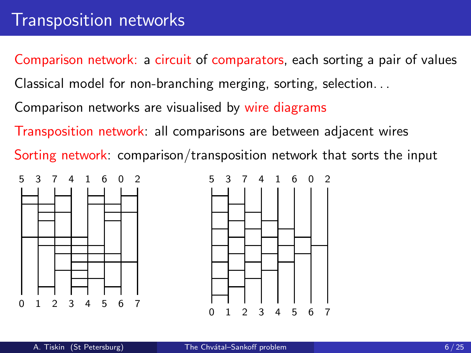<span id="page-5-0"></span>Comparison network: a circuit of comparators, each sorting a pair of values

Classical model for non-branching merging, sorting, selection. . .

Comparison networks are visualised by wire diagrams

Transposition network: all comparisons are between adjacent wires

Sorting network: comparison/transposition network that sorts the input



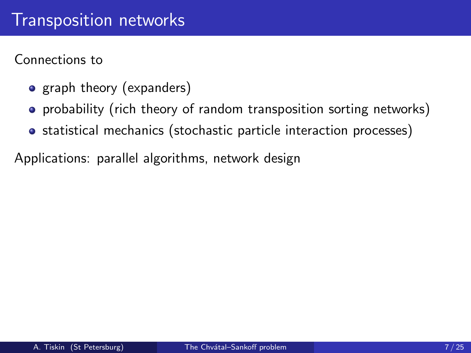Connections to

- graph theory (expanders)
- **•** probability (rich theory of random transposition sorting networks)
- statistical mechanics (stochastic particle interaction processes)

Applications: parallel algorithms, network design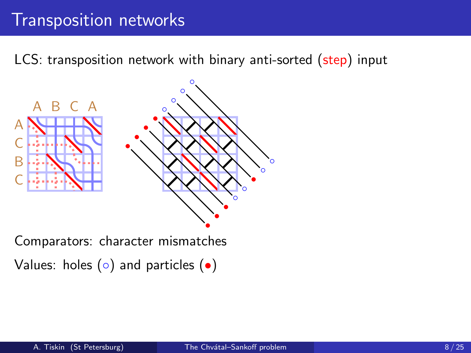### [Transposition networks](#page-5-0)

LCS: transposition network with binary anti-sorted (step) input



Comparators: character mismatches Values: holes  $( \circ )$  and particles  $( \bullet )$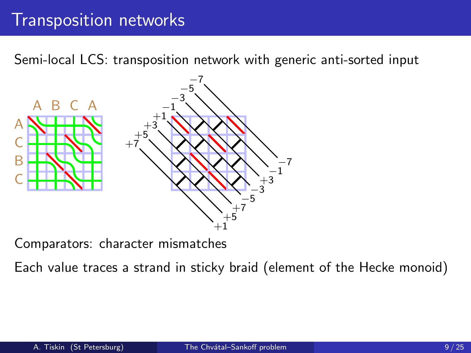### [Transposition networks](#page-5-0)

Semi-local LCS: transposition network with generic anti-sorted input



Comparators: character mismatches

Each value traces a strand in sticky braid (element of the Hecke monoid)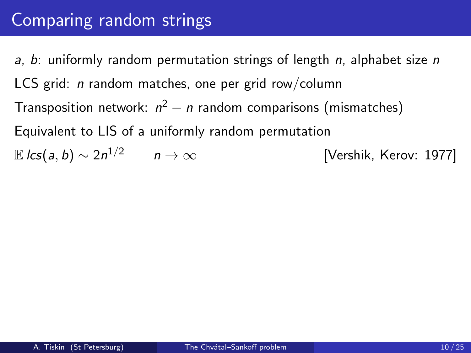<span id="page-9-0"></span>a, b: uniformly random permutation strings of length  $n$ , alphabet size n LCS grid: *n* random matches, one per grid row/column Transposition network:  $n^2 - n$  random comparisons (mismatches) Equivalent to LIS of a uniformly random permutation E lcs(a, b)  $\sim 2n^{1/2}$  n →  $\infty$ [Vershik, Kerov: 1977]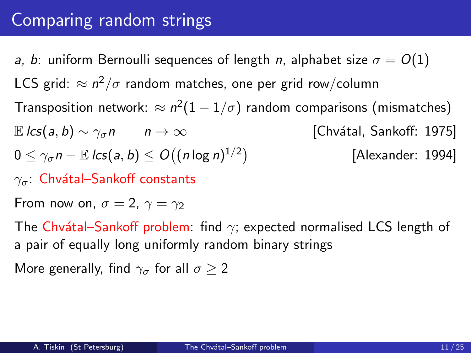a, b: uniform Bernoulli sequences of length n, alphabet size  $\sigma = O(1)$ LCS grid:  $\approx n^2/\sigma$  random matches, one per grid row/column Transposition network:  $\approx n^2(1-1/\sigma)$  random comparisons (mismatches)  $\mathbb{E} \text{ } \text{lcs}(a, b) \sim \gamma_{\sigma} n \qquad n \to \infty$  [Chvátal, Sankoff: 1975]  $0\leq \gamma_\sigma$ n —  $\mathbb E\,$ lcs $(a,b)\leq O\big((n\log n)^{1/2}\big)$ [Alexander: 1994]

 $\gamma_{\sigma}$ : Chvátal–Sankoff constants

From now on,  $\sigma = 2$ ,  $\gamma = \gamma_2$ 

The Chvátal–Sankoff problem: find  $\gamma$ ; expected normalised LCS length of a pair of equally long uniformly random binary strings

More generally, find  $\gamma_{\sigma}$  for all  $\sigma > 2$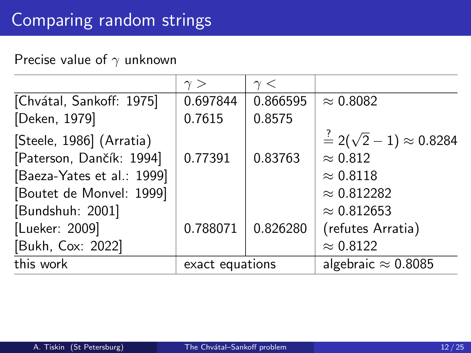#### Precise value of  $\gamma$  unknown

| $\gamma >$      | $\gamma <$ |                                            |
|-----------------|------------|--------------------------------------------|
| 0.697844        | 0.866595   | $\approx 0.8082$                           |
| 0.7615          | 0.8575     |                                            |
|                 |            | $\frac{?}{=} 2(\sqrt{2}-1) \approx 0.8284$ |
| 0.77391         | 0.83763    | $\approx 0.812$                            |
|                 |            | $\approx 0.8118$                           |
|                 |            | $\approx 0.812282$                         |
|                 |            | $\approx 0.812653$                         |
| 0.788071        | 0.826280   | (refutes Arratia)                          |
|                 |            | $\approx 0.8122$                           |
| exact equations |            | algebraic $\approx 0.8085$                 |
|                 |            |                                            |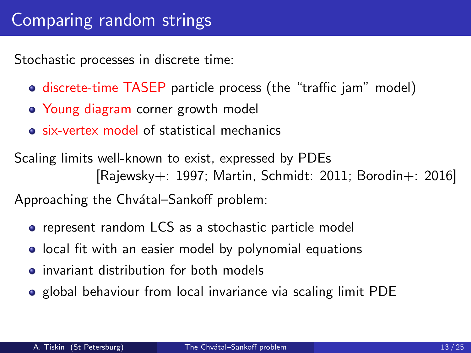Stochastic processes in discrete time:

- **o** discrete-time TASEP particle process (the "traffic jam" model)
- Young diagram corner growth model
- six-vertex model of statistical mechanics

Scaling limits well-known to exist, expressed by PDEs [Rajewsky+: 1997; Martin, Schmidt: 2011; Borodin+: 2016]

Approaching the Chvátal–Sankoff problem:

- **•** represent random LCS as a stochastic particle model
- **•** local fit with an easier model by polynomial equations
- **o** invariant distribution for both models
- **•** global behaviour from local invariance via scaling limit PDE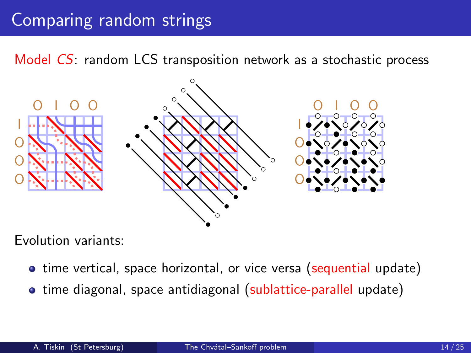Model CS: random LCS transposition network as a stochastic process



Evolution variants:

- time vertical, space horizontal, or vice versa (sequential update)
- time diagonal, space antidiagonal (sublattice-parallel update)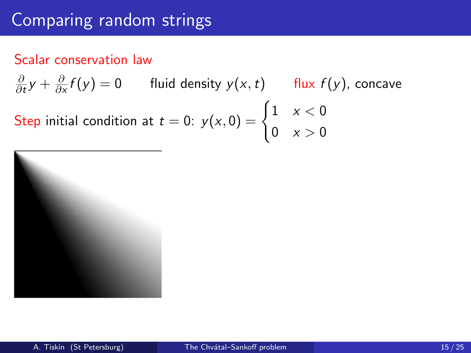#### Scalar conservation law

∂  $\frac{\partial}{\partial t}y + \frac{\partial}{\partial x}$  $\frac{\partial}{\partial x} f(y) = 0$  fluid density  $y(x, t)$  flux  $f(y)$ , concave Step initial condition at  $t=0$ :  $y(x, 0) = \begin{cases} 1 & x < 0 \\ 0 & x < 0 \end{cases}$ 0  $x > 0$ 

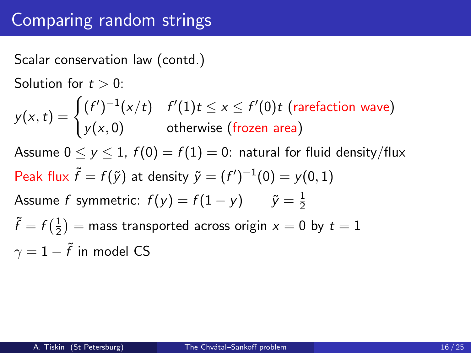Scalar conservation law (contd.)

Solution for  $t > 0$ :

 $y(x,t) = \begin{cases} (f')^{-1}(x/t) & f'(1)t \leq x \leq f'(0)t \text{ (rarefaction wave)} \ (f(x),t) & \text{if } (x,t) \leq x \leq f'(0)t \end{cases}$  $y(x, 0)$  otherwise (frozen area) Assume  $0 \le y \le 1$ ,  $f(0) = f(1) = 0$ : natural for fluid density/flux Peak flux  $\tilde{f} = f(\tilde{y})$  at density  $\tilde{y} = (f')^{-1}(0) = y(0,1)$ Assume  $f$  symmetric:  $f(y) = f(1-y) \qquad \tilde{y} = \frac{1}{2}$ 2  $\tilde{f} = f\left(\frac{1}{2}\right)$  $\left(\frac{1}{2}\right)$   $=$  mass transported across origin  $x = 0$  by  $t = 1$  $\gamma=1-\tilde{f}$  in model <code>CS</code>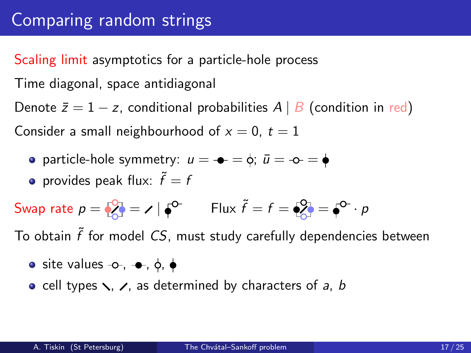Scaling limit asymptotics for a particle-hole process

Time diagonal, space antidiagonal

Denote  $\bar{z} = 1 - z$ , conditional probabilities  $A \mid B$  (condition in red) Consider a small neighbourhood of  $x = 0$ ,  $t = 1$ 

- **•** particle-hole symmetry:  $u = -\frac{1}{2}$   $\phi$ ;  $\bar{u} = -\phi = \phi$
- provides peak flux:  $\widetilde{f}=f$

$$
\text{Swap rate } p = \sqrt{2} = \sqrt{6}^{\circ} = \sqrt{6}^{\circ} \qquad \text{Flux } \tilde{f} = f = \sqrt{2} = \sqrt{6}^{\circ} \cdot p
$$

To obtain  $\tilde{f}$  for model  ${\it CS,}$  must study carefully dependencies between

- $\bullet$  site values  $-\circ$ ,  $-\bullet$ ,  $\circ$ ,  $\bullet$
- cell types  $\lambda$ ,  $\lambda$ , as determined by characters of a, b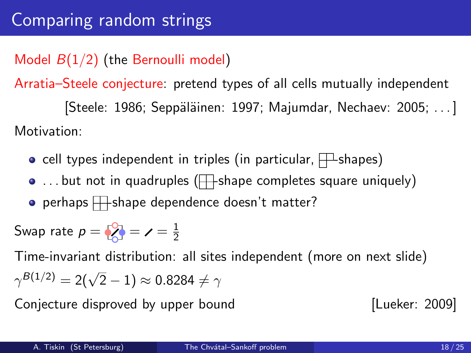### Model  $B(1/2)$  (the Bernoulli model)

Arratia–Steele conjecture: pretend types of all cells mutually independent  $[Steele: 1986; Seppäläinen: 1997; Majumdar, Nechaev: 2005; ...]$ Motivation:

- cell types independent in triples (in particular,  $\Box$  shapes)
- $\bullet$  ... but not in quadruples ( $\Box$  shape completes square uniquely)
- $\bullet$  perhaps  $\Box$  shape dependence doesn't matter?

$$
5 \text{wap rate } p = \left\{ \begin{matrix} 0 \\ 0 \end{matrix} \right\} = \mathbf{I} = \frac{1}{2}
$$

Time-invariant distribution: all sites independent (more on next slide)  $\gamma^{\mathcal{B}(1/2)} = 2(\sqrt{2}-1) \approx 0.8284 \neq \gamma$ 

Conjecture disproved by upper bound [Lueker: 2009]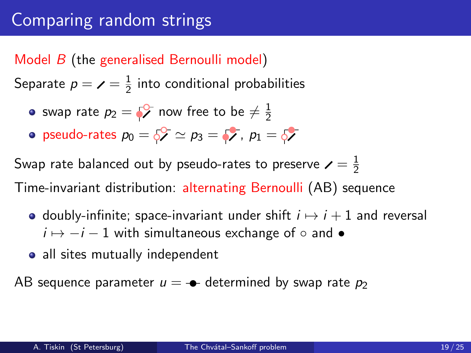#### Model B (the generalised Bernoulli model)

Separate  $p=\checkmark=\frac{1}{2}$  $\frac{1}{2}$  into conditional probabilities

- swap rate  $p_2=\sqrt[6]{\phantom{.}}$  now free to be  $\neq \frac{1}{2}$ 2
- pseudo-rates  $p_0 = 5$   $\approx p_3 = 5$ ,  $p_1 = 5$

Swap rate balanced out by pseudo-rates to preserve  $\boldsymbol{\times} = \frac{1}{2}$ 2

Time-invariant distribution: alternating Bernoulli (AB) sequence

- doubly-infinite; space-invariant under shift  $i \mapsto i + 1$  and reversal  $i \mapsto -i - 1$  with simultaneous exchange of  $\circ$  and •
- all sites mutually independent

AB sequence parameter  $u = -\bullet$  determined by swap rate  $p_2$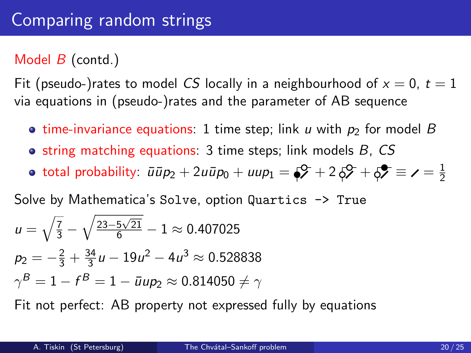### Model  $B$  (contd.)

Fit (pseudo-)rates to model CS locally in a neighbourhood of  $x = 0$ ,  $t = 1$ via equations in (pseudo-)rates and the parameter of AB sequence

- **time-invariance equations:** 1 time step; link u with  $p_2$  for model B
- $\bullet$  string matching equations: 3 time steps; link models B, CS
- total probability:  $\bar{u}\bar{u}p_2+2u\bar{u}p_0+uup_1=\zeta^2+2\,\zeta^2+\zeta^2\equiv \textbf{1}=2$ 2

Solve by Mathematica's Solve, option Quartics  $\rightarrow$  True

$$
u = \sqrt{\frac{7}{3}} - \sqrt{\frac{23 - 5\sqrt{21}}{6}} - 1 \approx 0.407025
$$
  
\n
$$
p_2 = -\frac{2}{3} + \frac{34}{3}u - 19u^2 - 4u^3 \approx 0.528838
$$
  
\n
$$
\gamma^B = 1 - f^B = 1 - \bar{u}up_2 \approx 0.814050 \neq \gamma
$$

Fit not perfect: AB property not expressed fully by equations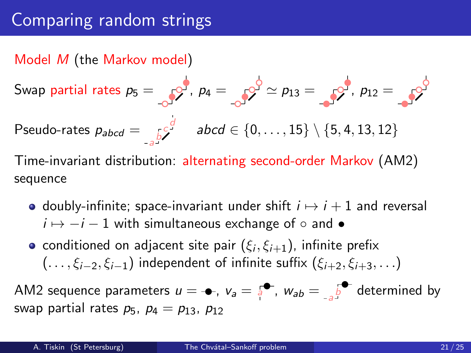Model M (the Markov model)

Swap partial rates 
$$
p_5 = \int_{-\infty}^{\infty} p_4 = \int_{-\infty}^{\infty} p_2 \approx p_{13} = \int_{-\infty}^{\infty} p_{12} = \int_{-\infty}^{\infty} p_5
$$

\nPseudo-rates  $p_{abcd} = \int_{-\infty}^{\infty} p_5 \times \left( \frac{p_5}{p_5} \right) \times \{5, 4, 13, 12\}$ 

Time-invariant distribution: alternating second-order Markov (AM2) sequence

- doubly-infinite; space-invariant under shift  $i \mapsto i + 1$  and reversal  $i \mapsto -i - 1$  with simultaneous exchange of  $\circ$  and •
- conditioned on adjacent site pair  $(\xi_i,\xi_{i+1})$ , infinite prefix  $( \ldots, \xi_{i-2}, \xi_{i-1})$  independent of infinite suffix  $(\xi_{i+2}, \xi_{i+3}, \ldots)$

AM2 sequence parameters  $u = \bullet$ ,  $v_a = \frac{1}{3} \bullet$ ,  $w_{ab} = \frac{1}{3} \bullet$  determined by swap partial rates  $p_5$ ,  $p_4 = p_{13}$ ,  $p_{12}$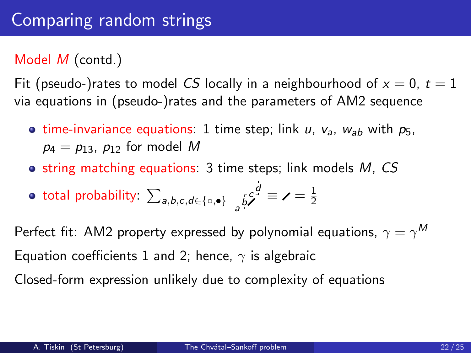### Model M (contd.)

Fit (pseudo-)rates to model CS locally in a neighbourhood of  $x = 0$ ,  $t = 1$ via equations in (pseudo-)rates and the parameters of AM2 sequence

- **time-invariance equations:** 1 time step; link u,  $v_a$ ,  $w_{ab}$  with  $p_5$ ,  $p_4 = p_{13}$ ,  $p_{12}$  for model M
- $\bullet$  string matching equations: 3 time steps; link models M, CS

• total probability: 
$$
\sum_{a,b,c,d \in \{\circ,\bullet\}} \leftarrow_{-a} b^c
$$
  $\neq$   $\neq$   $\frac{1}{2}$ 

Perfect fit: AM2 property expressed by polynomial equations,  $\gamma=\gamma^{\mathsf{M}}$ Equation coefficients 1 and 2; hence,  $\gamma$  is algebraic

Closed-form expression unlikely due to complexity of equations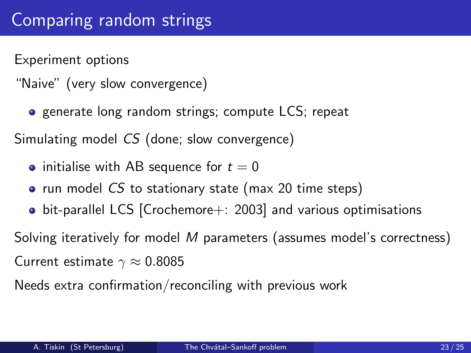Experiment options

- "Naive" (very slow convergence)
	- **o** generate long random strings; compute LCS; repeat

Simulating model CS (done; slow convergence)

- initialise with AB sequence for  $t = 0$
- run model  $CS$  to stationary state (max 20 time steps)
- bit-parallel LCS [Crochemore+: 2003] and various optimisations

Solving iteratively for model M parameters (assumes model's correctness) Current estimate  $\gamma \approx 0.8085$ 

Needs extra confirmation/reconciling with previous work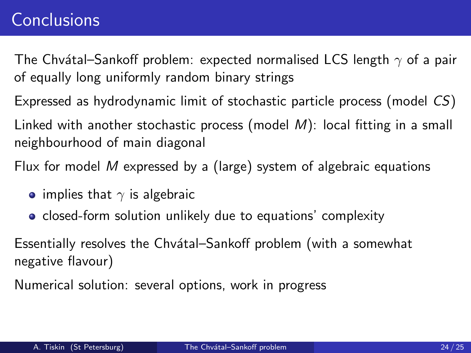### <span id="page-23-0"></span>**[Conclusions](#page-23-0)**

The Chvátal–Sankoff problem: expected normalised LCS length  $\gamma$  of a pair of equally long uniformly random binary strings

Expressed as hydrodynamic limit of stochastic particle process (model CS) Linked with another stochastic process (model M): local fitting in a small neighbourhood of main diagonal

Flux for model M expressed by a (large) system of algebraic equations

- implies that  $\gamma$  is algebraic
- **•** closed-form solution unlikely due to equations' complexity

Essentially resolves the Chvátal–Sankoff problem (with a somewhat negative flavour)

Numerical solution: several options, work in progress